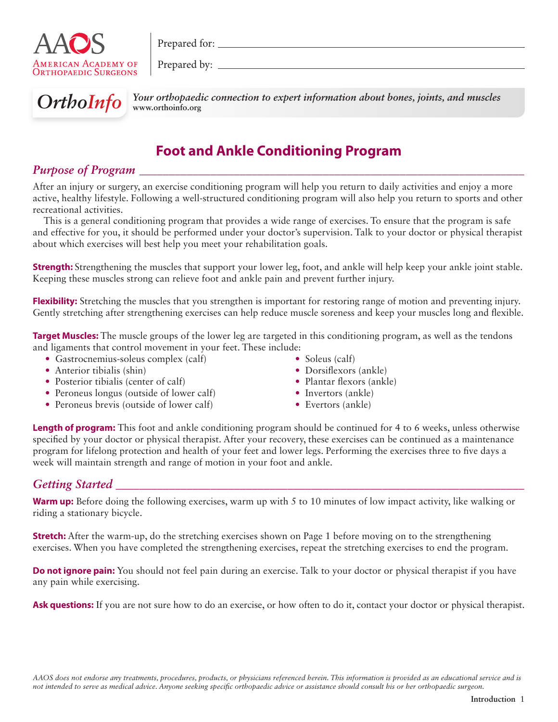

Prepared for:

Prepared by:



OrthoInfo Your orthopaedic connection to expert information about bones, joints, and muscles **www.orthoinfo.org**

# **Foot and Ankle Conditioning Program**

## *Purpose of Program*

After an injury or surgery, an exercise conditioning program will help you return to daily activities and enjoy a more active, healthy lifestyle. Following a well-structured conditioning program will also help you return to sports and other recreational activities.

This is a general conditioning program that provides a wide range of exercises. To ensure that the program is safe and effective for you, it should be performed under your doctor's supervision. Talk to your doctor or physical therapist about which exercises will best help you meet your rehabilitation goals.

**Strength:** Strengthening the muscles that support your lower leg, foot, and ankle will help keep your ankle joint stable. Keeping these muscles strong can relieve foot and ankle pain and prevent further injury.

**Flexibility:** Stretching the muscles that you strengthen is important for restoring range of motion and preventing injury. Gently stretching after strengthening exercises can help reduce muscle soreness and keep your muscles long and flexible.

**Target Muscles:** The muscle groups of the lower leg are targeted in this conditioning program, as well as the tendons and ligaments that control movement in your feet. These include:

- Gastrocnemius-soleus complex (calf)
- Anterior tibialis (shin)
- Posterior tibialis (center of calf)
- Peroneus longus (outside of lower calf)
- Peroneus brevis (outside of lower calf)
- Soleus (calf)
- Dorsiflexors (ankle)
- Plantar flexors (ankle)
- Invertors (ankle)
- Evertors (ankle)

**Length of program:** This foot and ankle conditioning program should be continued for 4 to 6 weeks, unless otherwise specified by your doctor or physical therapist. After your recovery, these exercises can be continued as a maintenance program for lifelong protection and health of your feet and lower legs. Performing the exercises three to five days a week will maintain strength and range of motion in your foot and ankle.

## *Getting Started and Started and Started and Started and Started and Started and Started and Started and Started and Started and Started and Started and Started and Starte*

**Warm up:** Before doing the following exercises, warm up with 5 to 10 minutes of low impact activity, like walking or riding a stationary bicycle.

**Stretch:** After the warm-up, do the stretching exercises shown on Page 1 before moving on to the strengthening exercises. When you have completed the strengthening exercises, repeat the stretching exercises to end the program.

**Do not ignore pain:** You should not feel pain during an exercise. Talk to your doctor or physical therapist if you have any pain while exercising.

**Ask questions:** If you are not sure how to do an exercise, or how often to do it, contact your doctor or physical therapist.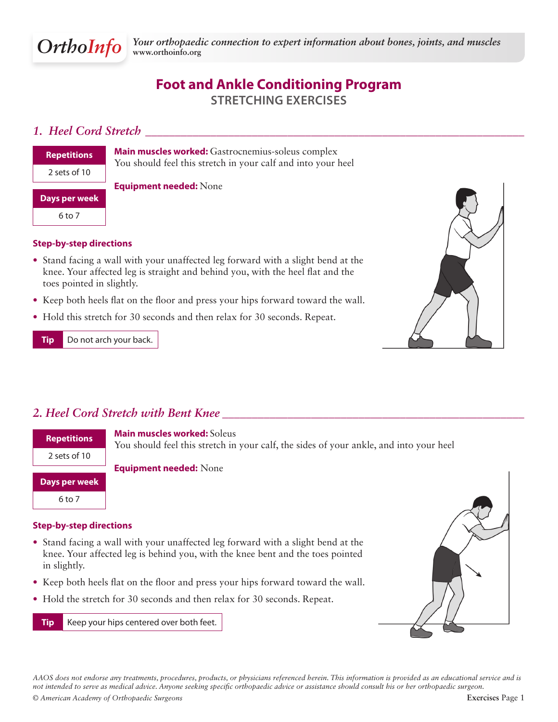

## **Foot and Ankle Conditioning Program Stretching Exercises**

### *1. Heel Cord Stretch \_\_\_\_\_\_\_\_\_\_\_\_\_\_\_\_\_\_\_\_\_\_\_\_\_\_\_\_\_\_\_\_\_\_\_\_\_\_\_\_\_\_\_\_\_\_\_\_\_\_\_\_\_\_\_\_\_\_\_\_\_\_\_\_*

| <b>Repetitions</b> |  |
|--------------------|--|
| 2 sets of 10       |  |
| Days per week      |  |
| 6 to 7             |  |
|                    |  |

**Main muscles worked:** Gastrocnemius-soleus complex You should feel this stretch in your calf and into your heel

**Equipment needed:** None

### **Step-by-step directions**

- Stand facing a wall with your unaffected leg forward with a slight bend at the knee. Your affected leg is straight and behind you, with the heel flat and the toes pointed in slightly.
- Keep both heels flat on the floor and press your hips forward toward the wall.
- Hold this stretch for 30 seconds and then relax for 30 seconds. Repeat.

**Tip** Do not arch your back.



## *2. Heel Cord Stretch with Bent Knee \_\_\_\_\_\_\_\_\_\_\_\_\_\_\_\_\_\_\_\_\_\_\_\_\_\_\_\_\_\_\_\_\_\_\_\_\_\_\_\_\_\_\_\_\_\_\_\_\_\_\_*



#### **Step-by-step directions**

- Stand facing a wall with your unaffected leg forward with a slight bend at the knee. Your affected leg is behind you, with the knee bent and the toes pointed in slightly.
- Keep both heels flat on the floor and press your hips forward toward the wall.
- Hold the stretch for 30 seconds and then relax for 30 seconds. Repeat.

**Tip** Keep your hips centered over both feet.



*© American Academy of Orthopaedic Surgeons* **Exercises** Page 1 *AAOS does not endorse any treatments, procedures, products, or physicians referenced herein. This information is provided as an educational service and is not intended to serve as medical advice. Anyone seeking specific orthopaedic advice or assistance should consult his or her orthopaedic surgeon.*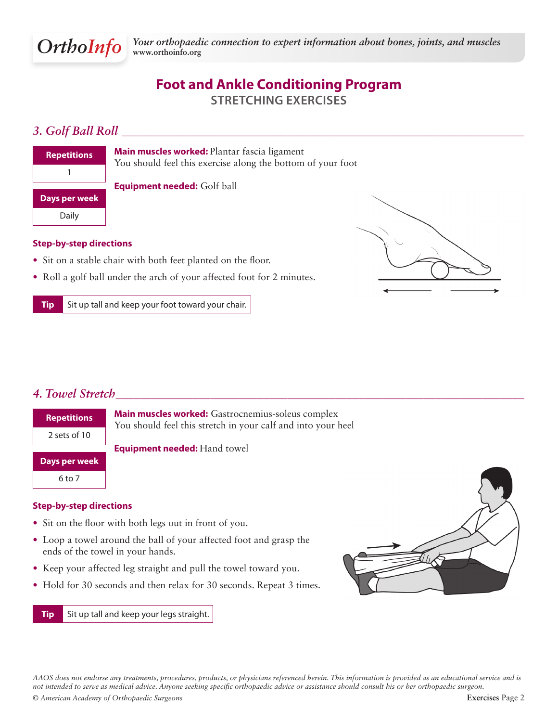

## **Foot and Ankle Conditioning Program Stretching Exercises**

## *3. Golf Ball Roll \_\_\_\_\_\_\_\_\_\_\_\_\_\_\_\_\_\_\_\_\_\_\_\_\_\_\_\_\_\_\_\_\_\_\_\_\_\_\_\_\_\_\_\_\_\_\_\_\_\_\_\_\_\_\_\_\_\_\_\_\_\_\_\_\_\_\_\_*



**Main muscles worked:** Plantar fascia ligament You should feel this exercise along the bottom of your foot

**Equipment needed:** Golf ball

### **Step-by-step directions**

- Sit on a stable chair with both feet planted on the floor.
- Roll a golf ball under the arch of your affected foot for 2 minutes.

**Tip** Sit up tall and keep your foot toward your chair.



### *4. Towel Stretch\_\_\_\_\_\_\_\_\_\_\_\_\_\_\_\_\_\_\_\_\_\_\_\_\_\_\_\_\_\_\_\_\_\_\_\_\_\_\_\_\_\_\_\_\_\_\_\_\_\_\_\_\_\_\_\_\_\_\_\_\_\_\_\_\_\_\_\_\_*



#### **Step-by-step directions**

- Sit on the floor with both legs out in front of you.
- Loop a towel around the ball of your affected foot and grasp the ends of the towel in your hands.
- Keep your affected leg straight and pull the towel toward you.
- Hold for 30 seconds and then relax for 30 seconds. Repeat 3 times.

**Tip** Sit up tall and keep your legs straight.



*© American Academy of Orthopaedic Surgeons* **Exercises** Page 2 *AAOS does not endorse any treatments, procedures, products, or physicians referenced herein. This information is provided as an educational service and is not intended to serve as medical advice. Anyone seeking specific orthopaedic advice or assistance should consult his or her orthopaedic surgeon.*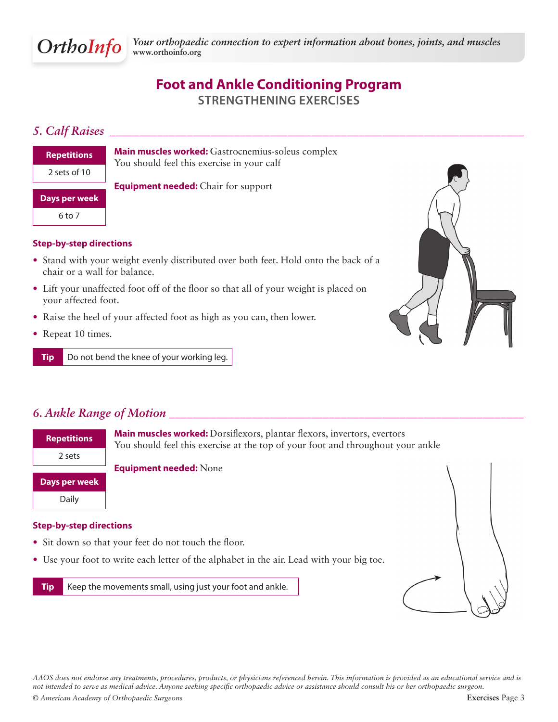

## **Foot and Ankle Conditioning Program Strengthening Exercises**

## *5. Calf Raises \_\_\_\_\_\_\_\_\_\_\_\_\_\_\_\_\_\_\_\_\_\_\_\_\_\_\_\_\_\_\_\_\_\_\_\_\_\_\_\_\_\_\_\_\_\_\_\_\_\_\_\_\_\_\_\_\_\_\_\_\_\_\_\_\_\_\_\_\_\_*

| <b>Repetitions</b> |
|--------------------|
| 2 sets of 10       |
| Days per week      |
| 6 to 7             |

**Main muscles worked:** Gastrocnemius-soleus complex You should feel this exercise in your calf

**Equipment needed:** Chair for support

### **Step-by-step directions**

- Stand with your weight evenly distributed over both feet. Hold onto the back of a chair or a wall for balance.
- Lift your unaffected foot off of the floor so that all of your weight is placed on your affected foot.
- Raise the heel of your affected foot as high as you can, then lower.
- Repeat 10 times.

**Tip** Do not bend the knee of your working leg.



| <b>Repetitions</b> | Main muscles worked: Dorsiflexors, plantar flexors, invertors, evertors<br>You should feel this exercise at the top of your foot and throughout your ankle |  |
|--------------------|------------------------------------------------------------------------------------------------------------------------------------------------------------|--|
| 2 sets             |                                                                                                                                                            |  |
|                    | <b>Equipment needed: None</b>                                                                                                                              |  |
| Days per week      |                                                                                                                                                            |  |
| Daily              |                                                                                                                                                            |  |
|                    |                                                                                                                                                            |  |

### **Step-by-step directions**

- Sit down so that your feet do not touch the floor.
- Use your foot to write each letter of the alphabet in the air. Lead with your big toe.

**Tip** Keep the movements small, using just your foot and ankle.



*AAOS does not endorse any treatments, procedures, products, or physicians referenced herein. This information is provided as an educational service and is not intended to serve as medical advice. Anyone seeking specific orthopaedic advice or assistance should consult his or her orthopaedic surgeon.*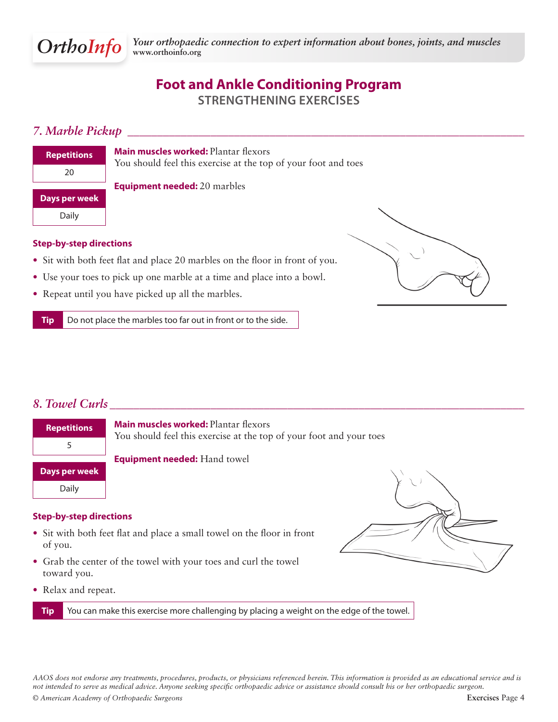

## **Foot and Ankle Conditioning Program Strengthening Exercises**

### *7. Marble Pickup \_\_\_\_\_\_\_\_\_\_\_\_\_\_\_\_\_\_\_\_\_\_\_\_\_\_\_\_\_\_\_\_\_\_\_\_\_\_\_\_\_\_\_\_\_\_\_\_\_\_\_\_\_\_\_\_\_\_\_\_\_\_\_\_\_\_\_*

| <b>Repetitions</b> | <b>Main muscles worked: Plantar flexors</b><br>You should feel this exercise at the top of your foot and toes |
|--------------------|---------------------------------------------------------------------------------------------------------------|
| 20                 |                                                                                                               |
|                    | <b>Equipment needed:</b> 20 marbles                                                                           |
|                    |                                                                                                               |
| Days per week      |                                                                                                               |
| Daily              |                                                                                                               |

#### **Step-by-step directions**

- Sit with both feet flat and place 20 marbles on the floor in front of you.
- Use your toes to pick up one marble at a time and place into a bowl.
- Repeat until you have picked up all the marbles.

**Tip** Do not place the marbles too far out in front or to the side.



### *8. Towel Curls \_\_\_\_\_\_\_\_\_\_\_\_\_\_\_\_\_\_\_\_\_\_\_\_\_\_\_\_\_\_\_\_\_\_\_\_\_\_\_\_\_\_\_\_\_\_\_\_\_\_\_\_\_\_\_\_\_\_\_\_\_\_\_\_\_\_\_\_\_\_*



#### **Step-by-step directions**

- Sit with both feet flat and place a small towel on the floor in front of you.
- Grab the center of the towel with your toes and curl the towel toward you.
- Relax and repeat.

**Tip** You can make this exercise more challenging by placing a weight on the edge of the towel.

*AAOS does not endorse any treatments, procedures, products, or physicians referenced herein. This information is provided as an educational service and is not intended to serve as medical advice. Anyone seeking specific orthopaedic advice or assistance should consult his or her orthopaedic surgeon.*